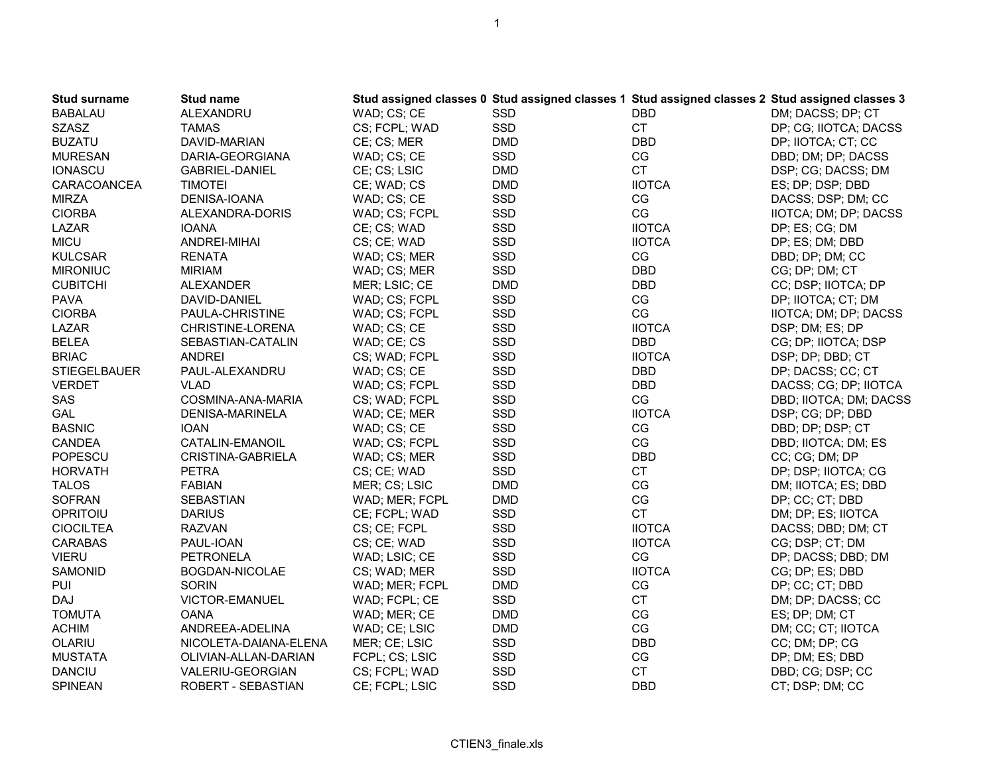| WAD; CS; CE<br>DM; DACSS; DP; CT<br><b>BABALAU</b><br><b>ALEXANDRU</b><br>SSD<br><b>DBD</b><br><b>SZASZ</b><br>SSD<br><b>CT</b><br><b>TAMAS</b><br>CS; FCPL; WAD<br>DP; CG; IIOTCA; DACSS<br><b>DBD</b><br><b>BUZATU</b><br><b>DMD</b><br>DP; IIOTCA; CT; CC<br>DAVID-MARIAN<br>CE; CS; MER |  |
|---------------------------------------------------------------------------------------------------------------------------------------------------------------------------------------------------------------------------------------------------------------------------------------------|--|
|                                                                                                                                                                                                                                                                                             |  |
|                                                                                                                                                                                                                                                                                             |  |
|                                                                                                                                                                                                                                                                                             |  |
| SSD<br>CG<br><b>MURESAN</b><br>DARIA-GEORGIANA<br>WAD; CS; CE<br>DBD; DM; DP; DACSS                                                                                                                                                                                                         |  |
| <b>CT</b><br><b>IONASCU</b><br>CE; CS; LSIC<br><b>DMD</b><br><b>GABRIEL-DANIEL</b><br>DSP; CG; DACSS; DM                                                                                                                                                                                    |  |
| <b>IIOTCA</b><br>CARACOANCEA<br><b>TIMOTEI</b><br>CE; WAD; CS<br><b>DMD</b><br>ES; DP; DSP; DBD                                                                                                                                                                                             |  |
| <b>MIRZA</b><br>SSD<br>CG<br>DENISA-IOANA<br>WAD; CS; CE<br>DACSS; DSP; DM; CC                                                                                                                                                                                                              |  |
| CG<br><b>CIORBA</b><br>SSD<br>ALEXANDRA-DORIS<br>WAD; CS; FCPL<br>IIOTCA; DM; DP; DACSS                                                                                                                                                                                                     |  |
| <b>IIOTCA</b><br>SSD<br>LAZAR<br><b>IOANA</b><br>CE; CS; WAD<br>DP; ES; CG; DM                                                                                                                                                                                                              |  |
| <b>IIOTCA</b><br><b>MICU</b><br>SSD<br>ANDREI-MIHAI<br>CS; CE; WAD<br>DP; ES; DM; DBD                                                                                                                                                                                                       |  |
| SSD<br>$\mathbb{C}\mathbb{G}$<br><b>KULCSAR</b><br><b>RENATA</b><br>WAD; CS; MER<br>DBD; DP; DM; CC                                                                                                                                                                                         |  |
| SSD<br><b>DBD</b><br><b>MIRONIUC</b><br><b>MIRIAM</b><br>WAD; CS; MER<br>CG; DP; DM; CT                                                                                                                                                                                                     |  |
| <b>CUBITCHI</b><br><b>DMD</b><br><b>DBD</b><br>MER; LSIC; CE<br>CC; DSP; IIOTCA; DP<br><b>ALEXANDER</b>                                                                                                                                                                                     |  |
| CG<br><b>PAVA</b><br>WAD; CS; FCPL<br>SSD<br>DP; IIOTCA; CT; DM<br>DAVID-DANIEL                                                                                                                                                                                                             |  |
| SSD<br>CG<br><b>CIORBA</b><br>WAD; CS; FCPL<br>PAULA-CHRISTINE<br>IIOTCA; DM; DP; DACSS                                                                                                                                                                                                     |  |
| LAZAR<br>WAD; CS; CE<br>SSD<br><b>IIOTCA</b><br>DSP; DM; ES; DP<br>CHRISTINE-LORENA                                                                                                                                                                                                         |  |
| SSD<br><b>DBD</b><br><b>BELEA</b><br>WAD; CE; CS<br>CG; DP; IIOTCA; DSP<br>SEBASTIAN-CATALIN                                                                                                                                                                                                |  |
| <b>BRIAC</b><br>SSD<br><b>IIOTCA</b><br><b>ANDREI</b><br>CS; WAD; FCPL<br>DSP; DP; DBD; CT                                                                                                                                                                                                  |  |
| SSD<br><b>DBD</b><br><b>STIEGELBAUER</b><br>PAUL-ALEXANDRU<br>WAD; CS; CE<br>DP; DACSS; CC; CT                                                                                                                                                                                              |  |
| SSD<br><b>VERDET</b><br><b>VLAD</b><br>WAD; CS; FCPL<br><b>DBD</b><br>DACSS; CG; DP; IIOTCA                                                                                                                                                                                                 |  |
| SSD<br>CG<br>SAS<br>COSMINA-ANA-MARIA<br>CS; WAD; FCPL<br>DBD; IIOTCA; DM; DACSS                                                                                                                                                                                                            |  |
| <b>IIOTCA</b><br><b>GAL</b><br>SSD<br>DENISA-MARINELA<br>WAD; CE; MER<br>DSP; CG; DP; DBD                                                                                                                                                                                                   |  |
| CG<br><b>BASNIC</b><br>SSD<br><b>IOAN</b><br>WAD; CS; CE<br>DBD; DP; DSP; CT                                                                                                                                                                                                                |  |
| CG<br>SSD<br>CANDEA<br>CATALIN-EMANOIL<br>WAD; CS; FCPL<br>DBD; IIOTCA; DM; ES                                                                                                                                                                                                              |  |
| <b>DBD</b><br>POPESCU<br>SSD<br>CRISTINA-GABRIELA<br>WAD; CS; MER<br>CC; CG; DM; DP                                                                                                                                                                                                         |  |
| <b>CT</b><br>SSD<br><b>HORVATH</b><br><b>PETRA</b><br>CS; CE; WAD<br>DP; DSP; IIOTCA; CG                                                                                                                                                                                                    |  |
| CG<br><b>TALOS</b><br><b>FABIAN</b><br>MER; CS; LSIC<br><b>DMD</b><br>DM; IIOTCA; ES; DBD                                                                                                                                                                                                   |  |
| CG<br>SOFRAN<br><b>SEBASTIAN</b><br>WAD; MER; FCPL<br><b>DMD</b><br>DP; CC; CT; DBD                                                                                                                                                                                                         |  |
| SSD<br><b>CT</b><br>OPRITOIU<br><b>DARIUS</b><br>CE; FCPL; WAD<br>DM; DP; ES; IIOTCA                                                                                                                                                                                                        |  |
| SSD<br><b>IIOTCA</b><br><b>CIOCILTEA</b><br><b>RAZVAN</b><br>CS; CE; FCPL<br>DACSS; DBD; DM; CT                                                                                                                                                                                             |  |
| SSD<br><b>IIOTCA</b><br><b>CARABAS</b><br>PAUL-IOAN<br>CS; CE; WAD<br>CG; DSP; CT; DM                                                                                                                                                                                                       |  |
| CG<br><b>VIERU</b><br>SSD<br><b>PETRONELA</b><br>WAD; LSIC; CE<br>DP; DACSS; DBD; DM                                                                                                                                                                                                        |  |
| SSD<br><b>IIOTCA</b><br><b>SAMONID</b><br>BOGDAN-NICOLAE<br>CG; DP; ES; DBD<br>CS; WAD; MER                                                                                                                                                                                                 |  |
| CG<br>PUI<br><b>SORIN</b><br>WAD; MER; FCPL<br><b>DMD</b><br>DP; CC; CT; DBD                                                                                                                                                                                                                |  |
| <b>CT</b><br>VICTOR-EMANUEL<br>SSD<br><b>DAJ</b><br>WAD; FCPL; CE<br>DM; DP; DACSS; CC                                                                                                                                                                                                      |  |
| CG<br><b>TOMUTA</b><br><b>OANA</b><br>WAD; MER; CE<br><b>DMD</b><br>ES; DP; DM; CT                                                                                                                                                                                                          |  |
| CG<br><b>ACHIM</b><br>ANDREEA-ADELINA<br>WAD; CE; LSIC<br><b>DMD</b><br>DM; CC; CT; IIOTCA                                                                                                                                                                                                  |  |
| SSD<br><b>DBD</b><br><b>OLARIU</b><br>MER; CE; LSIC<br>CC; DM; DP; CG<br>NICOLETA-DAIANA-ELENA                                                                                                                                                                                              |  |
| <b>MUSTATA</b><br>SSD<br>CG<br>FCPL; CS; LSIC<br>DP; DM; ES; DBD<br>OLIVIAN-ALLAN-DARIAN                                                                                                                                                                                                    |  |
| <b>CT</b><br><b>DANCIU</b><br>SSD<br>VALERIU-GEORGIAN<br>CS; FCPL; WAD<br>DBD; CG; DSP; CC                                                                                                                                                                                                  |  |
| <b>SPINEAN</b><br>CE; FCPL; LSIC<br>SSD<br><b>DBD</b><br>CT; DSP; DM; CC<br>ROBERT - SEBASTIAN                                                                                                                                                                                              |  |